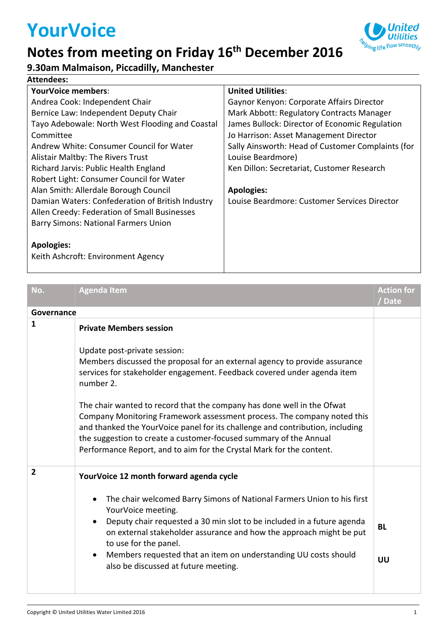# **YourVoice**

#### **Notes from meeting on Friday 16th December 2016**



#### **Attendees:**

| <b>YourVoice members:</b>                        | <b>United Utilities:</b>                          |
|--------------------------------------------------|---------------------------------------------------|
| Andrea Cook: Independent Chair                   | Gaynor Kenyon: Corporate Affairs Director         |
| Bernice Law: Independent Deputy Chair            | Mark Abbott: Regulatory Contracts Manager         |
| Tayo Adebowale: North West Flooding and Coastal  | James Bullock: Director of Economic Regulation    |
| Committee                                        | Jo Harrison: Asset Management Director            |
| Andrew White: Consumer Council for Water         | Sally Ainsworth: Head of Customer Complaints (for |
| Alistair Maltby: The Rivers Trust                | Louise Beardmore)                                 |
| Richard Jarvis: Public Health England            | Ken Dillon: Secretariat, Customer Research        |
| Robert Light: Consumer Council for Water         |                                                   |
| Alan Smith: Allerdale Borough Council            | <b>Apologies:</b>                                 |
| Damian Waters: Confederation of British Industry | Louise Beardmore: Customer Services Director      |
| Allen Creedy: Federation of Small Businesses     |                                                   |
| <b>Barry Simons: National Farmers Union</b>      |                                                   |
|                                                  |                                                   |
| <b>Apologies:</b>                                |                                                   |

Keith Ashcroft: Environment Agency

| No.            | <b>Agenda Item</b>                                                                                                                                                                                                                                                                                                                                                                                                                                                                                                                                                                                                      | <b>Action for</b><br>/Date |
|----------------|-------------------------------------------------------------------------------------------------------------------------------------------------------------------------------------------------------------------------------------------------------------------------------------------------------------------------------------------------------------------------------------------------------------------------------------------------------------------------------------------------------------------------------------------------------------------------------------------------------------------------|----------------------------|
| Governance     |                                                                                                                                                                                                                                                                                                                                                                                                                                                                                                                                                                                                                         |                            |
| $\mathbf{1}$   | <b>Private Members session</b><br>Update post-private session:<br>Members discussed the proposal for an external agency to provide assurance<br>services for stakeholder engagement. Feedback covered under agenda item<br>number 2.<br>The chair wanted to record that the company has done well in the Ofwat<br>Company Monitoring Framework assessment process. The company noted this<br>and thanked the YourVoice panel for its challenge and contribution, including<br>the suggestion to create a customer-focused summary of the Annual<br>Performance Report, and to aim for the Crystal Mark for the content. |                            |
| $\overline{2}$ | YourVoice 12 month forward agenda cycle                                                                                                                                                                                                                                                                                                                                                                                                                                                                                                                                                                                 |                            |
|                | The chair welcomed Barry Simons of National Farmers Union to his first<br>$\bullet$<br>YourVoice meeting.<br>Deputy chair requested a 30 min slot to be included in a future agenda<br>$\bullet$<br>on external stakeholder assurance and how the approach might be put<br>to use for the panel.<br>Members requested that an item on understanding UU costs should<br>$\bullet$<br>also be discussed at future meeting.                                                                                                                                                                                                | <b>BL</b><br>UU            |

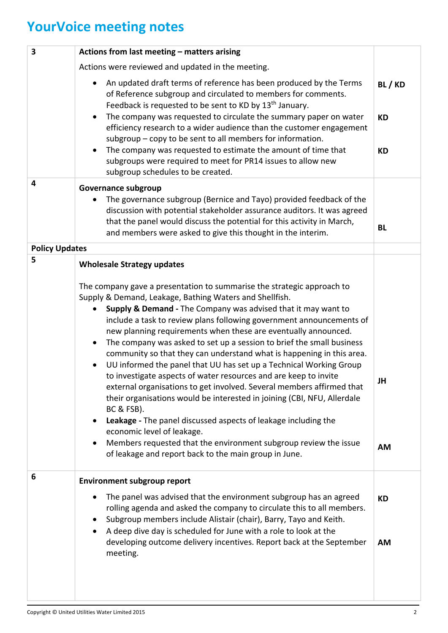## **YourVoice meeting notes**

| 3                     | Actions from last meeting - matters arising                                                                                                                                                                                                                                                                                                                                                                                                                                                                                                                                                                                                                                                                                                                                                                                                                                                                                                                                                                                                                                  |                                 |
|-----------------------|------------------------------------------------------------------------------------------------------------------------------------------------------------------------------------------------------------------------------------------------------------------------------------------------------------------------------------------------------------------------------------------------------------------------------------------------------------------------------------------------------------------------------------------------------------------------------------------------------------------------------------------------------------------------------------------------------------------------------------------------------------------------------------------------------------------------------------------------------------------------------------------------------------------------------------------------------------------------------------------------------------------------------------------------------------------------------|---------------------------------|
|                       | Actions were reviewed and updated in the meeting.                                                                                                                                                                                                                                                                                                                                                                                                                                                                                                                                                                                                                                                                                                                                                                                                                                                                                                                                                                                                                            |                                 |
|                       | An updated draft terms of reference has been produced by the Terms<br>of Reference subgroup and circulated to members for comments.<br>Feedback is requested to be sent to KD by 13 <sup>th</sup> January.<br>The company was requested to circulate the summary paper on water<br>efficiency research to a wider audience than the customer engagement<br>subgroup - copy to be sent to all members for information.<br>The company was requested to estimate the amount of time that<br>subgroups were required to meet for PR14 issues to allow new<br>subgroup schedules to be created.                                                                                                                                                                                                                                                                                                                                                                                                                                                                                  | BL/KD<br><b>KD</b><br><b>KD</b> |
| 4                     | Governance subgroup                                                                                                                                                                                                                                                                                                                                                                                                                                                                                                                                                                                                                                                                                                                                                                                                                                                                                                                                                                                                                                                          |                                 |
|                       | The governance subgroup (Bernice and Tayo) provided feedback of the<br>discussion with potential stakeholder assurance auditors. It was agreed<br>that the panel would discuss the potential for this activity in March,<br>and members were asked to give this thought in the interim.                                                                                                                                                                                                                                                                                                                                                                                                                                                                                                                                                                                                                                                                                                                                                                                      | <b>BL</b>                       |
| <b>Policy Updates</b> |                                                                                                                                                                                                                                                                                                                                                                                                                                                                                                                                                                                                                                                                                                                                                                                                                                                                                                                                                                                                                                                                              |                                 |
| 5                     | <b>Wholesale Strategy updates</b><br>The company gave a presentation to summarise the strategic approach to<br>Supply & Demand, Leakage, Bathing Waters and Shellfish.<br>Supply & Demand - The Company was advised that it may want to<br>include a task to review plans following government announcements of<br>new planning requirements when these are eventually announced.<br>The company was asked to set up a session to brief the small business<br>community so that they can understand what is happening in this area.<br>UU informed the panel that UU has set up a Technical Working Group<br>to investigate aspects of water resources and are keep to invite<br>external organisations to get involved. Several members affirmed that<br>their organisations would be interested in joining (CBI, NFU, Allerdale<br>BC & FSB).<br>Leakage - The panel discussed aspects of leakage including the<br>economic level of leakage.<br>Members requested that the environment subgroup review the issue<br>of leakage and report back to the main group in June. | JH<br><b>AM</b>                 |
| 6                     | <b>Environment subgroup report</b><br>The panel was advised that the environment subgroup has an agreed<br>rolling agenda and asked the company to circulate this to all members.<br>Subgroup members include Alistair (chair), Barry, Tayo and Keith.<br>A deep dive day is scheduled for June with a role to look at the<br>developing outcome delivery incentives. Report back at the September<br>meeting.                                                                                                                                                                                                                                                                                                                                                                                                                                                                                                                                                                                                                                                               | <b>KD</b><br><b>AM</b>          |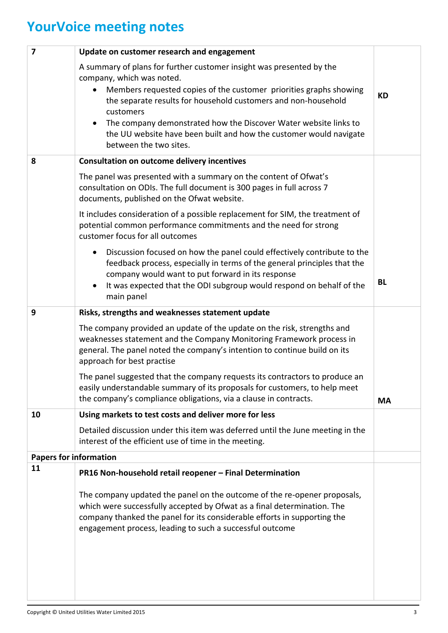## **YourVoice meeting notes**

| $\overline{7}$                | Update on customer research and engagement                                                                                                                                                                                                                                                  |           |
|-------------------------------|---------------------------------------------------------------------------------------------------------------------------------------------------------------------------------------------------------------------------------------------------------------------------------------------|-----------|
|                               | A summary of plans for further customer insight was presented by the<br>company, which was noted.                                                                                                                                                                                           |           |
|                               | Members requested copies of the customer priorities graphs showing<br>the separate results for household customers and non-household<br>customers                                                                                                                                           | <b>KD</b> |
|                               | The company demonstrated how the Discover Water website links to<br>the UU website have been built and how the customer would navigate<br>between the two sites.                                                                                                                            |           |
| 8                             | <b>Consultation on outcome delivery incentives</b>                                                                                                                                                                                                                                          |           |
|                               | The panel was presented with a summary on the content of Ofwat's<br>consultation on ODIs. The full document is 300 pages in full across 7<br>documents, published on the Ofwat website.                                                                                                     |           |
|                               | It includes consideration of a possible replacement for SIM, the treatment of<br>potential common performance commitments and the need for strong<br>customer focus for all outcomes                                                                                                        |           |
|                               | Discussion focused on how the panel could effectively contribute to the<br>feedback process, especially in terms of the general principles that the<br>company would want to put forward in its response                                                                                    | <b>BL</b> |
|                               | It was expected that the ODI subgroup would respond on behalf of the<br>main panel                                                                                                                                                                                                          |           |
| 9                             | Risks, strengths and weaknesses statement update                                                                                                                                                                                                                                            |           |
|                               | The company provided an update of the update on the risk, strengths and<br>weaknesses statement and the Company Monitoring Framework process in<br>general. The panel noted the company's intention to continue build on its<br>approach for best practise                                  |           |
|                               | The panel suggested that the company requests its contractors to produce an<br>easily understandable summary of its proposals for customers, to help meet<br>the company's compliance obligations, via a clause in contracts.                                                               | <b>MA</b> |
| 10                            | Using markets to test costs and deliver more for less                                                                                                                                                                                                                                       |           |
|                               | Detailed discussion under this item was deferred until the June meeting in the<br>interest of the efficient use of time in the meeting.                                                                                                                                                     |           |
| <b>Papers for information</b> |                                                                                                                                                                                                                                                                                             |           |
| 11                            | PR16 Non-household retail reopener - Final Determination                                                                                                                                                                                                                                    |           |
|                               | The company updated the panel on the outcome of the re-opener proposals,<br>which were successfully accepted by Ofwat as a final determination. The<br>company thanked the panel for its considerable efforts in supporting the<br>engagement process, leading to such a successful outcome |           |
|                               |                                                                                                                                                                                                                                                                                             |           |